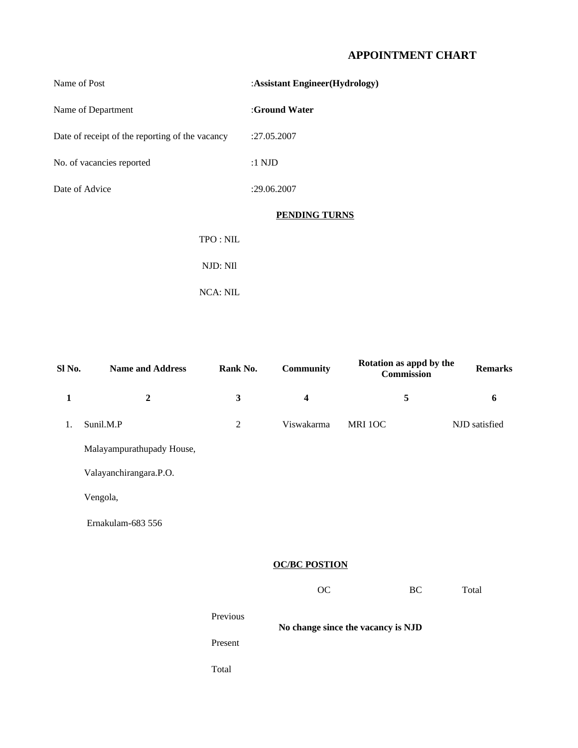#### **APPOINTMENT CHART**

| Name of Post                                    | : Assistant Engineer (Hydrology) |  |  |
|-------------------------------------------------|----------------------------------|--|--|
| Name of Department                              | :Ground Water                    |  |  |
| Date of receipt of the reporting of the vacancy | :27.05.2007                      |  |  |
| No. of vacancies reported                       | $:1$ NJD                         |  |  |
| Date of Advice                                  | :29.06.2007                      |  |  |
|                                                 | <b>PENDING TURNS</b>             |  |  |
| TPO: NIL                                        |                                  |  |  |
| NJD: NIl                                        |                                  |  |  |
|                                                 |                                  |  |  |

NCA: NIL

| Sl No.       | <b>Name and Address</b>   | Rank No.       | Community               | Rotation as appd by the<br>Commission | <b>Remarks</b> |  |  |  |
|--------------|---------------------------|----------------|-------------------------|---------------------------------------|----------------|--|--|--|
| $\mathbf{1}$ | $\overline{2}$            | 3              | $\overline{\mathbf{4}}$ | 5                                     | 6              |  |  |  |
| 1.           | Sunil.M.P                 | $\overline{2}$ | Viswakarma              | MRI 10C                               | NJD satisfied  |  |  |  |
|              | Malayampurathupady House, |                |                         |                                       |                |  |  |  |
|              | Valayanchirangara.P.O.    |                |                         |                                       |                |  |  |  |
|              | Vengola,                  |                |                         |                                       |                |  |  |  |
|              | Ernakulam-683 556         |                |                         |                                       |                |  |  |  |
|              |                           |                |                         |                                       |                |  |  |  |
|              |                           |                | <b>OC/BC POSTION</b>    |                                       |                |  |  |  |
|              |                           |                | OC                      | BC                                    | Total          |  |  |  |
|              |                           | Previous       |                         |                                       |                |  |  |  |

**No change since the vacancy is NJD** Present

Total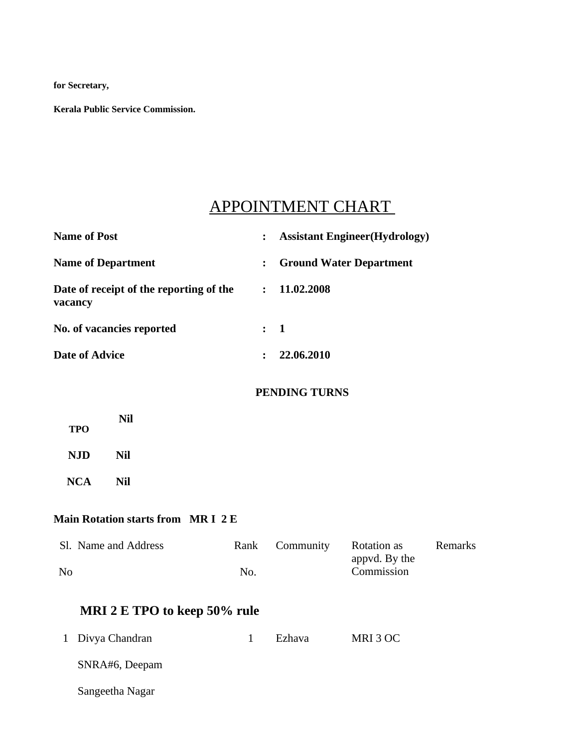**for Secretary,**

**Kerala Public Service Commission.**

# APPOINTMENT CHART

| <b>Name of Post</b>                     |                                         | $\ddot{\cdot}$ | <b>Assistant Engineer(Hydrology)</b> |                              |         |  |  |  |
|-----------------------------------------|-----------------------------------------|----------------|--------------------------------------|------------------------------|---------|--|--|--|
| <b>Name of Department</b>               |                                         | :              | <b>Ground Water Department</b>       |                              |         |  |  |  |
| vacancy                                 | Date of receipt of the reporting of the | $\ddot{\cdot}$ | 11.02.2008                           |                              |         |  |  |  |
| No. of vacancies reported               |                                         | $\ddot{\cdot}$ | $\mathbf{1}$                         |                              |         |  |  |  |
| <b>Date of Advice</b>                   |                                         | $\ddot{\cdot}$ | 22.06.2010                           |                              |         |  |  |  |
| <b>PENDING TURNS</b>                    |                                         |                |                                      |                              |         |  |  |  |
| <b>TPO</b>                              | <b>Nil</b>                              |                |                                      |                              |         |  |  |  |
| <b>NJD</b>                              | <b>Nil</b>                              |                |                                      |                              |         |  |  |  |
| <b>NCA</b>                              | <b>Nil</b>                              |                |                                      |                              |         |  |  |  |
| <b>Main Rotation starts from MRI 2E</b> |                                         |                |                                      |                              |         |  |  |  |
|                                         | Sl. Name and Address                    | Rank           | Community                            | Rotation as<br>appvd. By the | Remarks |  |  |  |
| N <sub>o</sub>                          |                                         | No.            |                                      | Commission                   |         |  |  |  |
| MRI 2 E TPO to keep 50% rule            |                                         |                |                                      |                              |         |  |  |  |
| $\mathbf{1}$                            | Divya Chandran                          | $\mathbf{1}$   | Ezhava                               | MRI 3 OC                     |         |  |  |  |
|                                         | SNRA#6, Deepam                          |                |                                      |                              |         |  |  |  |
|                                         | Sangeetha Nagar                         |                |                                      |                              |         |  |  |  |